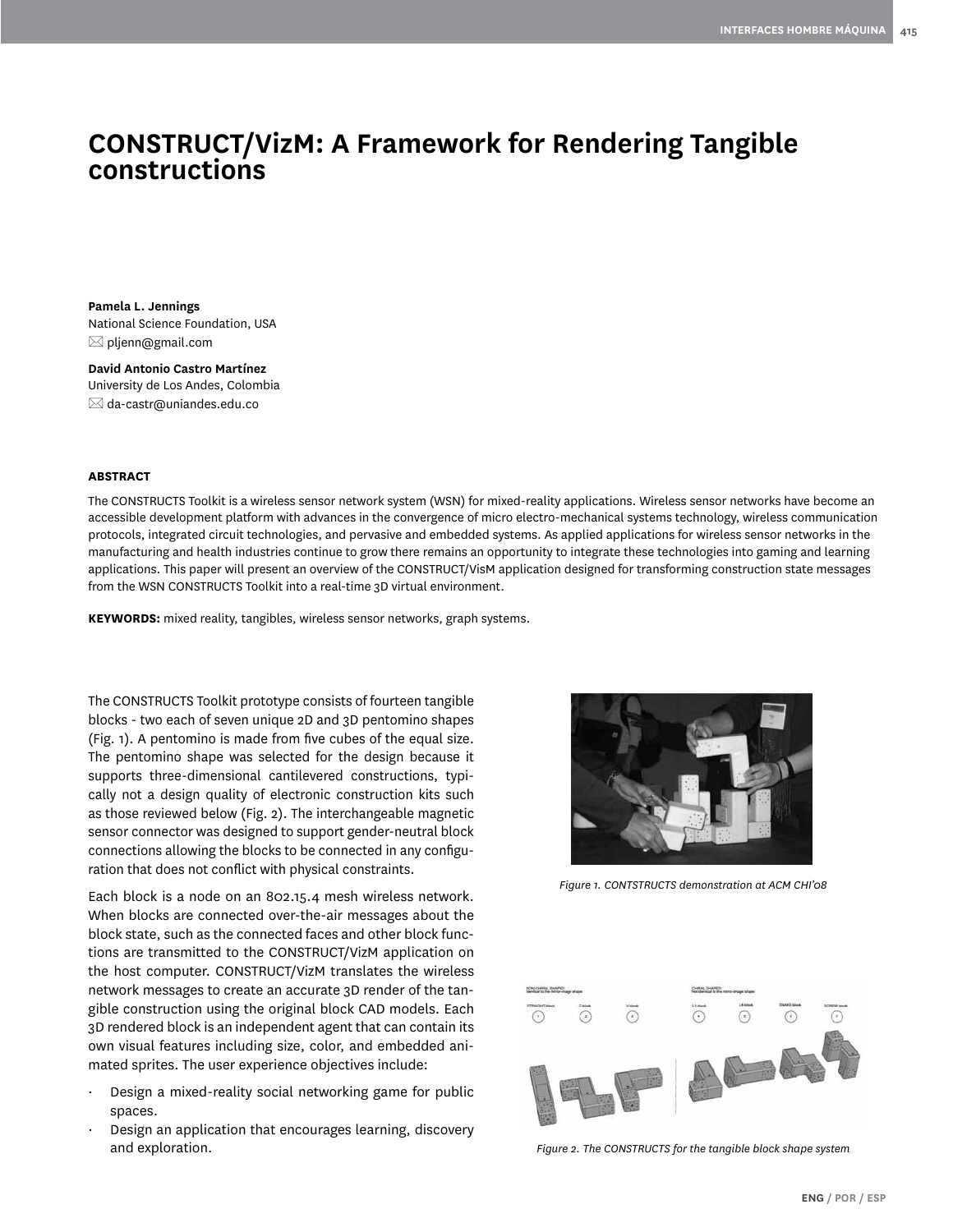# **CONSTRUCT/VizM: A Framework for Rendering Tangible constructions**

**Pamela L. Jennings** National Science Foundation, USA  $\boxtimes$  pljenn@gmail.com

**David Antonio Castro Martínez** University de Los Andes, Colombia  $\boxtimes$  da-castr@uniandes.edu.co

#### **ABSTRACT**

The CONSTRUCTS Toolkit is a wireless sensor network system (WSN) for mixed-reality applications. Wireless sensor networks have become an accessible development platform with advances in the convergence of micro electro-mechanical systems technology, wireless communication protocols, integrated circuit technologies, and pervasive and embedded systems. As applied applications for wireless sensor networks in the manufacturing and health industries continue to grow there remains an opportunity to integrate these technologies into gaming and learning applications. This paper will present an overview of the CONSTRUCT/VisM application designed for transforming construction state messages from the WSN CONSTRUCTS Toolkit into a real-time 3D virtual environment.

**KEYWORDS:** mixed reality, tangibles, wireless sensor networks, graph systems.

The CONSTRUCTS Toolkit prototype consists of fourteen tangible blocks - two each of seven unique 2D and 3D pentomino shapes (Fig. 1). A pentomino is made from five cubes of the equal size. The pentomino shape was selected for the design because it supports three-dimensional cantilevered constructions, typically not a design quality of electronic construction kits such as those reviewed below (Fig. 2). The interchangeable magnetic sensor connector was designed to support gender-neutral block connections allowing the blocks to be connected in any configuration that does not conflict with physical constraints.

Each block is a node on an 802.15.4 mesh wireless network. When blocks are connected over-the-air messages about the block state, such as the connected faces and other block functions are transmitted to the CONSTRUCT/VizM application on the host computer. CONSTRUCT/VizM translates the wireless network messages to create an accurate 3D render of the tangible construction using the original block CAD models. Each 3D rendered block is an independent agent that can contain its own visual features including size, color, and embedded animated sprites. The user experience objectives include:

- Design a mixed-reality social networking game for public spaces.
- Design an application that encourages learning, discovery and exploration.



*Figure 1. CONTSTRUCTS demonstration at ACM CHI'08*



*Figure 2. The CONSTRUCTS for the tangible block shape system*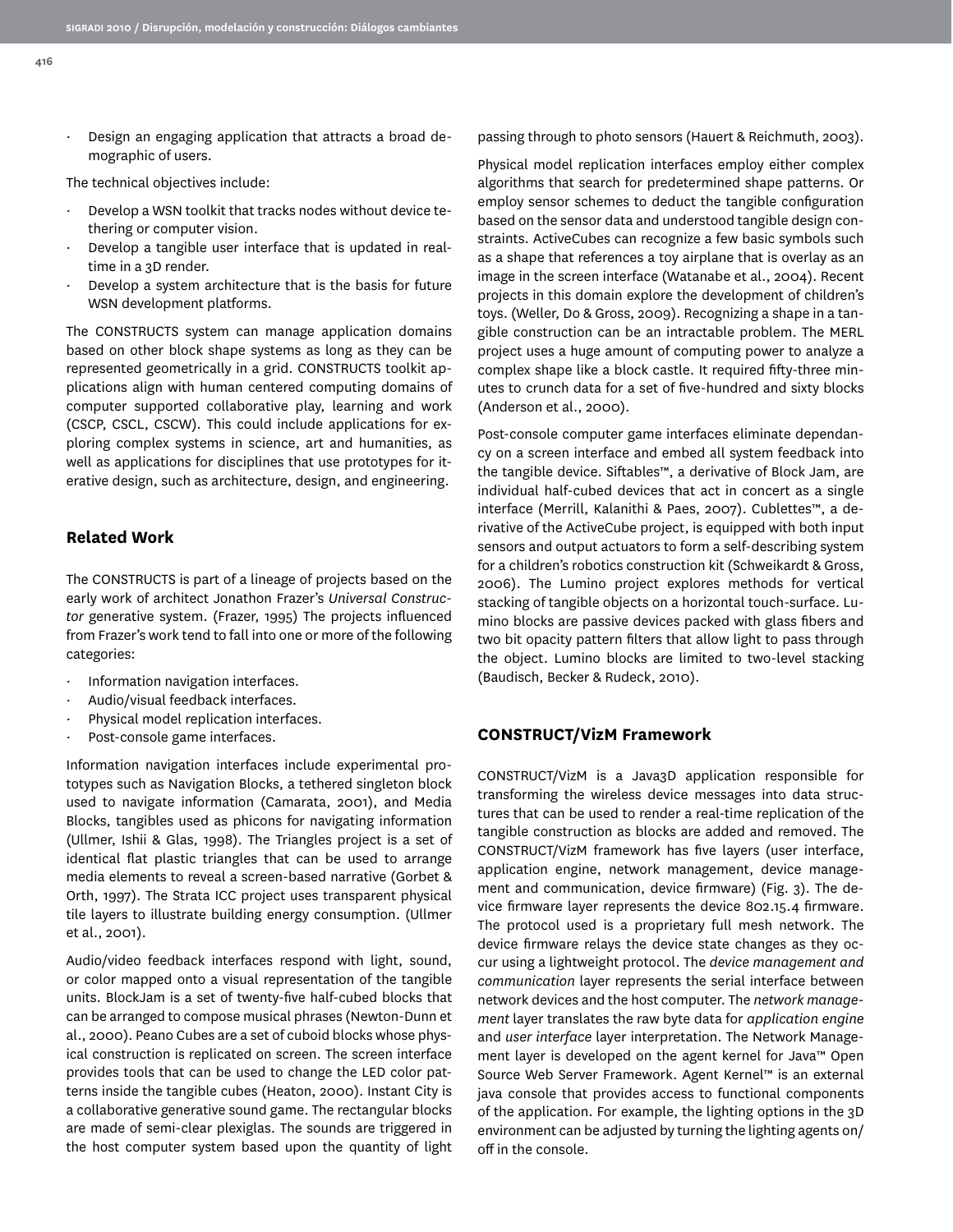· Design an engaging application that attracts a broad demographic of users.

The technical objectives include:

- Develop a WSN toolkit that tracks nodes without device tethering or computer vision.
- Develop a tangible user interface that is updated in realtime in a 3D render.
- Develop a system architecture that is the basis for future WSN development platforms.

The CONSTRUCTS system can manage application domains based on other block shape systems as long as they can be represented geometrically in a grid. CONSTRUCTS toolkit applications align with human centered computing domains of computer supported collaborative play, learning and work (CSCP, CSCL, CSCW). This could include applications for exploring complex systems in science, art and humanities, as well as applications for disciplines that use prototypes for iterative design, such as architecture, design, and engineering.

#### **Related Work**

The CONSTRUCTS is part of a lineage of projects based on the early work of architect Jonathon Frazer's *Universal Constructor* generative system. (Frazer, 1995) The projects influenced from Frazer's work tend to fall into one or more of the following categories:

- · Information navigation interfaces.
- · Audio/visual feedback interfaces.
- Physical model replication interfaces.
- Post-console game interfaces.

Information navigation interfaces include experimental prototypes such as Navigation Blocks, a tethered singleton block used to navigate information (Camarata, 2001), and Media Blocks, tangibles used as phicons for navigating information (Ullmer, Ishii & Glas, 1998). The Triangles project is a set of identical flat plastic triangles that can be used to arrange media elements to reveal a screen-based narrative (Gorbet & Orth, 1997). The Strata ICC project uses transparent physical tile layers to illustrate building energy consumption. (Ullmer et al., 2001).

Audio/video feedback interfaces respond with light, sound, or color mapped onto a visual representation of the tangible units. BlockJam is a set of twenty-five half-cubed blocks that can be arranged to compose musical phrases (Newton-Dunn et al., 2000). Peano Cubes are a set of cuboid blocks whose physical construction is replicated on screen. The screen interface provides tools that can be used to change the LED color patterns inside the tangible cubes (Heaton, 2000). Instant City is a collaborative generative sound game. The rectangular blocks are made of semi-clear plexiglas. The sounds are triggered in the host computer system based upon the quantity of light passing through to photo sensors (Hauert & Reichmuth, 2003).

Physical model replication interfaces employ either complex algorithms that search for predetermined shape patterns. Or employ sensor schemes to deduct the tangible configuration based on the sensor data and understood tangible design constraints. ActiveCubes can recognize a few basic symbols such as a shape that references a toy airplane that is overlay as an image in the screen interface (Watanabe et al., 2004). Recent projects in this domain explore the development of children's toys. (Weller, Do & Gross, 2009). Recognizing a shape in a tangible construction can be an intractable problem. The MERL project uses a huge amount of computing power to analyze a complex shape like a block castle. It required fifty-three minutes to crunch data for a set of five-hundred and sixty blocks (Anderson et al., 2000).

Post-console computer game interfaces eliminate dependancy on a screen interface and embed all system feedback into the tangible device. Siftables™, a derivative of Block Jam, are individual half-cubed devices that act in concert as a single interface (Merrill, Kalanithi & Paes, 2007). Cublettes™, a derivative of the ActiveCube project, is equipped with both input sensors and output actuators to form a self-describing system for a children's robotics construction kit (Schweikardt & Gross, 2006). The Lumino project explores methods for vertical stacking of tangible objects on a horizontal touch-surface. Lumino blocks are passive devices packed with glass fibers and two bit opacity pattern filters that allow light to pass through the object. Lumino blocks are limited to two-level stacking (Baudisch, Becker & Rudeck, 2010).

#### **CONSTRUCT/VizM Framework**

CONSTRUCT/VizM is a Java3D application responsible for transforming the wireless device messages into data structures that can be used to render a real-time replication of the tangible construction as blocks are added and removed. The CONSTRUCT/VizM framework has five layers (user interface, application engine, network management, device management and communication, device firmware) (Fig. 3). The device firmware layer represents the device 802.15.4 firmware. The protocol used is a proprietary full mesh network. The device firmware relays the device state changes as they occur using a lightweight protocol. The *device management and communication* layer represents the serial interface between network devices and the host computer. The *network management* layer translates the raw byte data for *application engine*  and *user interface* layer interpretation. The Network Management layer is developed on the agent kernel for Java™ Open Source Web Server Framework. Agent Kernel™ is an external java console that provides access to functional components of the application. For example, the lighting options in the 3D environment can be adjusted by turning the lighting agents on/ off in the console.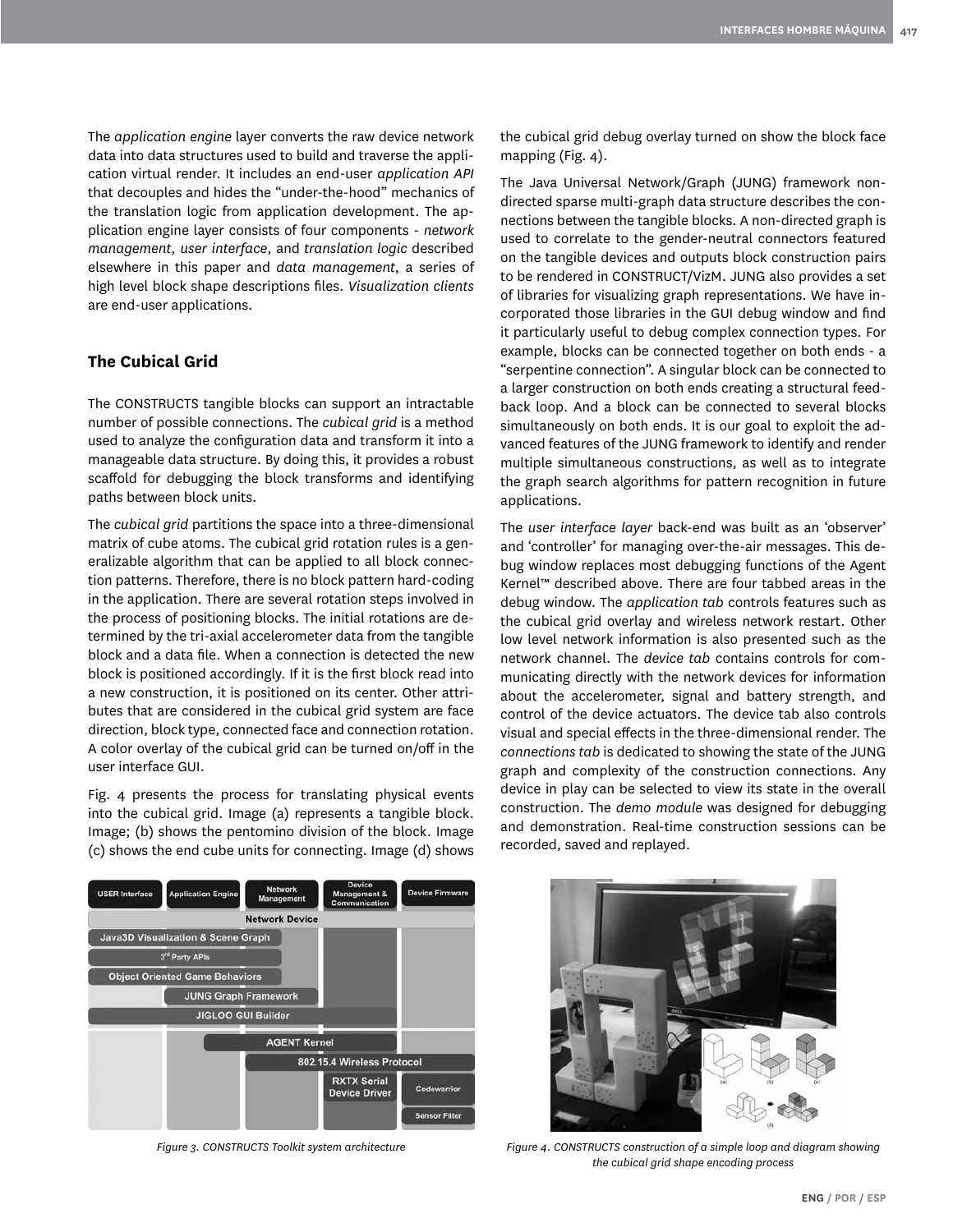The *application engine* layer converts the raw device network data into data structures used to build and traverse the application virtual render. It includes an end-user *application API*  that decouples and hides the "under-the-hood" mechanics of the translation logic from application development. The application engine layer consists of four components - *network management, user interface*, and *translation logic* described elsewhere in this paper and *data management*, a series of high level block shape descriptions files. *Visualization clients* are end-user applications.

### **The Cubical Grid**

The CONSTRUCTS tangible blocks can support an intractable number of possible connections. The *cubical grid* is a method used to analyze the configuration data and transform it into a manageable data structure. By doing this, it provides a robust scaffold for debugging the block transforms and identifying paths between block units.

The *cubical grid* partitions the space into a three-dimensional matrix of cube atoms. The cubical grid rotation rules is a generalizable algorithm that can be applied to all block connection patterns. Therefore, there is no block pattern hard-coding in the application. There are several rotation steps involved in the process of positioning blocks. The initial rotations are determined by the tri-axial accelerometer data from the tangible block and a data file. When a connection is detected the new block is positioned accordingly. If it is the first block read into a new construction, it is positioned on its center. Other attributes that are considered in the cubical grid system are face direction, block type, connected face and connection rotation. A color overlay of the cubical grid can be turned on/off in the user interface GUI.

Fig. 4 presents the process for translating physical events into the cubical grid. Image (a) represents a tangible block. Image; (b) shows the pentomino division of the block. Image (c) shows the end cube units for connecting. Image (d) shows the cubical grid debug overlay turned on show the block face mapping (Fig. 4).

The Java Universal Network/Graph (JUNG) framework nondirected sparse multi-graph data structure describes the connections between the tangible blocks. A non-directed graph is used to correlate to the gender-neutral connectors featured on the tangible devices and outputs block construction pairs to be rendered in CONSTRUCT/VizM. JUNG also provides a set of libraries for visualizing graph representations. We have incorporated those libraries in the GUI debug window and find it particularly useful to debug complex connection types. For example, blocks can be connected together on both ends - a "serpentine connection". A singular block can be connected to a larger construction on both ends creating a structural feedback loop. And a block can be connected to several blocks simultaneously on both ends. It is our goal to exploit the advanced features of the JUNG framework to identify and render multiple simultaneous constructions, as well as to integrate the graph search algorithms for pattern recognition in future applications.

The *user interface layer* back-end was built as an 'observer' and 'controller' for managing over-the-air messages. This debug window replaces most debugging functions of the Agent Kernel™ described above. There are four tabbed areas in the debug window. The *application tab* controls features such as the cubical grid overlay and wireless network restart. Other low level network information is also presented such as the network channel. The *device tab* contains controls for communicating directly with the network devices for information about the accelerometer, signal and battery strength, and control of the device actuators. The device tab also controls visual and special effects in the three-dimensional render. The *connections tab* is dedicated to showing the state of the JUNG graph and complexity of the construction connections. Any device in play can be selected to view its state in the overall construction. The *demo module* was designed for debugging and demonstration. Real-time construction sessions can be recorded, saved and replayed.





*Figure 3. CONSTRUCTS Toolkit system architecture Figure 4. CONSTRUCTS construction of a simple loop and diagram showing the cubical grid shape encoding process*